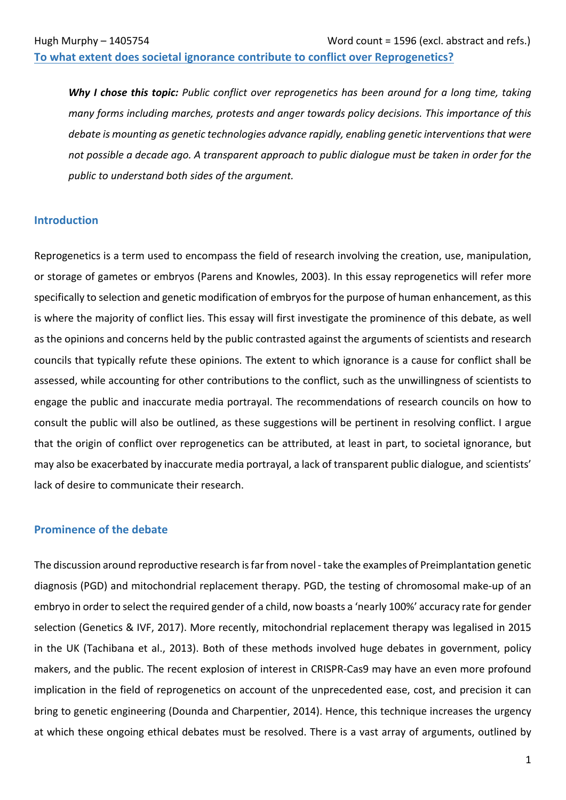To what extent does societal ignorance contribute to conflict over Reprogenetics?

**Why I chose this topic:** Public conflict over reprogenetics has been around for a long time, taking *many* forms including marches, protests and anger towards policy decisions. This importance of this *debate* is mounting as genetic technologies advance rapidly, enabling genetic interventions that were *not possible a decade ago.* A transparent approach to public dialogue must be taken in order for the public to understand both sides of the argument.

#### **Introduction**

Reprogenetics is a term used to encompass the field of research involving the creation, use, manipulation, or storage of gametes or embryos (Parens and Knowles, 2003). In this essay reprogenetics will refer more specifically to selection and genetic modification of embryos for the purpose of human enhancement, as this is where the majority of conflict lies. This essay will first investigate the prominence of this debate, as well as the opinions and concerns held by the public contrasted against the arguments of scientists and research councils that typically refute these opinions. The extent to which ignorance is a cause for conflict shall be assessed, while accounting for other contributions to the conflict, such as the unwillingness of scientists to engage the public and inaccurate media portrayal. The recommendations of research councils on how to consult the public will also be outlined, as these suggestions will be pertinent in resolving conflict. I argue that the origin of conflict over reprogenetics can be attributed, at least in part, to societal ignorance, but may also be exacerbated by inaccurate media portrayal, a lack of transparent public dialogue, and scientists' lack of desire to communicate their research.

### **Prominence of the debate**

The discussion around reproductive research is far from novel - take the examples of Preimplantation genetic diagnosis (PGD) and mitochondrial replacement therapy. PGD, the testing of chromosomal make-up of an embryo in order to select the required gender of a child, now boasts a 'nearly 100%' accuracy rate for gender selection (Genetics & IVF, 2017). More recently, mitochondrial replacement therapy was legalised in 2015 in the UK (Tachibana et al., 2013). Both of these methods involved huge debates in government, policy makers, and the public. The recent explosion of interest in CRISPR-Cas9 may have an even more profound implication in the field of reprogenetics on account of the unprecedented ease, cost, and precision it can bring to genetic engineering (Dounda and Charpentier, 2014). Hence, this technique increases the urgency at which these ongoing ethical debates must be resolved. There is a vast array of arguments, outlined by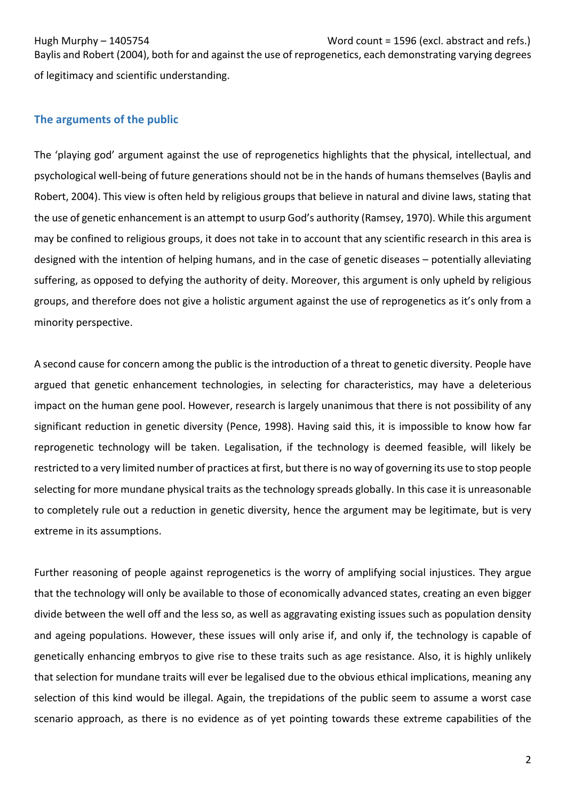Hugh Murphy – 1405754 Word count = 1596 (excl. abstract and refs.) Baylis and Robert (2004), both for and against the use of reprogenetics, each demonstrating varying degrees of legitimacy and scientific understanding.

# **The arguments of the public**

The 'playing god' argument against the use of reprogenetics highlights that the physical, intellectual, and psychological well-being of future generations should not be in the hands of humans themselves (Baylis and Robert, 2004). This view is often held by religious groups that believe in natural and divine laws, stating that the use of genetic enhancement is an attempt to usurp God's authority (Ramsey, 1970). While this argument may be confined to religious groups, it does not take in to account that any scientific research in this area is designed with the intention of helping humans, and in the case of genetic diseases – potentially alleviating suffering, as opposed to defying the authority of deity. Moreover, this argument is only upheld by religious groups, and therefore does not give a holistic argument against the use of reprogenetics as it's only from a minority perspective.

A second cause for concern among the public is the introduction of a threat to genetic diversity. People have argued that genetic enhancement technologies, in selecting for characteristics, may have a deleterious impact on the human gene pool. However, research is largely unanimous that there is not possibility of any significant reduction in genetic diversity (Pence, 1998). Having said this, it is impossible to know how far reprogenetic technology will be taken. Legalisation, if the technology is deemed feasible, will likely be restricted to a very limited number of practices at first, but there is no way of governing its use to stop people selecting for more mundane physical traits as the technology spreads globally. In this case it is unreasonable to completely rule out a reduction in genetic diversity, hence the argument may be legitimate, but is very extreme in its assumptions.

Further reasoning of people against reprogenetics is the worry of amplifying social injustices. They argue that the technology will only be available to those of economically advanced states, creating an even bigger divide between the well off and the less so, as well as aggravating existing issues such as population density and ageing populations. However, these issues will only arise if, and only if, the technology is capable of genetically enhancing embryos to give rise to these traits such as age resistance. Also, it is highly unlikely that selection for mundane traits will ever be legalised due to the obvious ethical implications, meaning any selection of this kind would be illegal. Again, the trepidations of the public seem to assume a worst case scenario approach, as there is no evidence as of yet pointing towards these extreme capabilities of the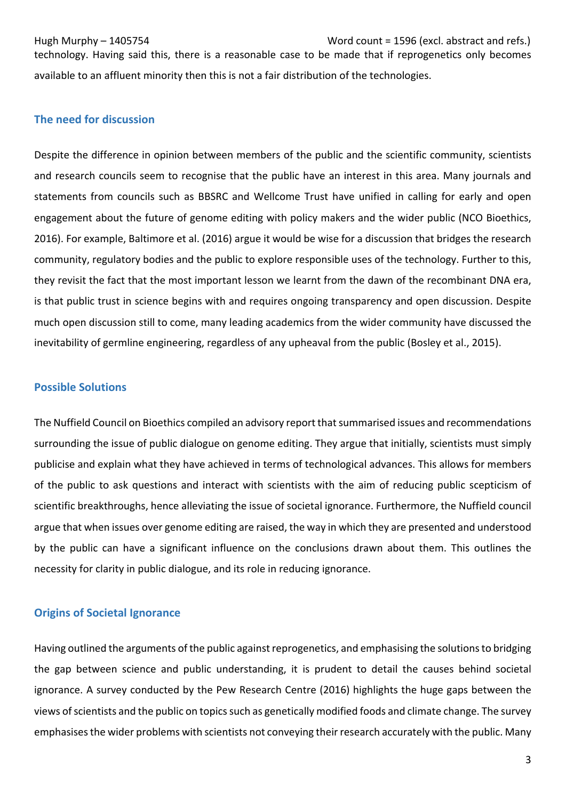Hugh Murphy – 1405754 Word count = 1596 (excl. abstract and refs.) 

technology. Having said this, there is a reasonable case to be made that if reprogenetics only becomes available to an affluent minority then this is not a fair distribution of the technologies.

# **The need for discussion**

Despite the difference in opinion between members of the public and the scientific community, scientists and research councils seem to recognise that the public have an interest in this area. Many journals and statements from councils such as BBSRC and Wellcome Trust have unified in calling for early and open engagement about the future of genome editing with policy makers and the wider public (NCO Bioethics, 2016). For example, Baltimore et al. (2016) argue it would be wise for a discussion that bridges the research community, regulatory bodies and the public to explore responsible uses of the technology. Further to this, they revisit the fact that the most important lesson we learnt from the dawn of the recombinant DNA era, is that public trust in science begins with and requires ongoing transparency and open discussion. Despite much open discussion still to come, many leading academics from the wider community have discussed the inevitability of germline engineering, regardless of any upheaval from the public (Bosley et al., 2015).

#### **Possible Solutions**

The Nuffield Council on Bioethics compiled an advisory report that summarised issues and recommendations surrounding the issue of public dialogue on genome editing. They argue that initially, scientists must simply publicise and explain what they have achieved in terms of technological advances. This allows for members of the public to ask questions and interact with scientists with the aim of reducing public scepticism of scientific breakthroughs, hence alleviating the issue of societal ignorance. Furthermore, the Nuffield council argue that when issues over genome editing are raised, the way in which they are presented and understood by the public can have a significant influence on the conclusions drawn about them. This outlines the necessity for clarity in public dialogue, and its role in reducing ignorance.

# **Origins of Societal Ignorance**

Having outlined the arguments of the public against reprogenetics, and emphasising the solutions to bridging the gap between science and public understanding, it is prudent to detail the causes behind societal ignorance. A survey conducted by the Pew Research Centre (2016) highlights the huge gaps between the views of scientists and the public on topics such as genetically modified foods and climate change. The survey emphasises the wider problems with scientists not conveying their research accurately with the public. Many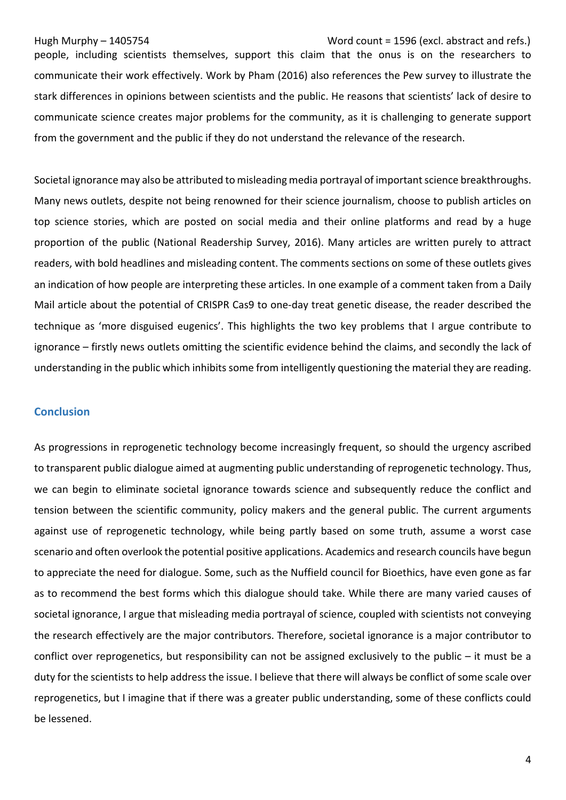#### Hugh Murphy – 1405754 Word count = 1596 (excl. abstract and refs.)

people, including scientists themselves, support this claim that the onus is on the researchers to communicate their work effectively. Work by Pham (2016) also references the Pew survey to illustrate the stark differences in opinions between scientists and the public. He reasons that scientists' lack of desire to communicate science creates major problems for the community, as it is challenging to generate support from the government and the public if they do not understand the relevance of the research.

Societal ignorance may also be attributed to misleading media portrayal of important science breakthroughs. Many news outlets, despite not being renowned for their science journalism, choose to publish articles on top science stories, which are posted on social media and their online platforms and read by a huge proportion of the public (National Readership Survey, 2016). Many articles are written purely to attract readers, with bold headlines and misleading content. The comments sections on some of these outlets gives an indication of how people are interpreting these articles. In one example of a comment taken from a Daily Mail article about the potential of CRISPR Cas9 to one-day treat genetic disease, the reader described the technique as 'more disguised eugenics'. This highlights the two key problems that I argue contribute to ignorance – firstly news outlets omitting the scientific evidence behind the claims, and secondly the lack of understanding in the public which inhibits some from intelligently questioning the material they are reading.

#### **Conclusion**

As progressions in reprogenetic technology become increasingly frequent, so should the urgency ascribed to transparent public dialogue aimed at augmenting public understanding of reprogenetic technology. Thus, we can begin to eliminate societal ignorance towards science and subsequently reduce the conflict and tension between the scientific community, policy makers and the general public. The current arguments against use of reprogenetic technology, while being partly based on some truth, assume a worst case scenario and often overlook the potential positive applications. Academics and research councils have begun to appreciate the need for dialogue. Some, such as the Nuffield council for Bioethics, have even gone as far as to recommend the best forms which this dialogue should take. While there are many varied causes of societal ignorance, I argue that misleading media portrayal of science, coupled with scientists not conveying the research effectively are the major contributors. Therefore, societal ignorance is a major contributor to conflict over reprogenetics, but responsibility can not be assigned exclusively to the public  $-$  it must be a duty for the scientists to help address the issue. I believe that there will always be conflict of some scale over reprogenetics, but I imagine that if there was a greater public understanding, some of these conflicts could be lessened.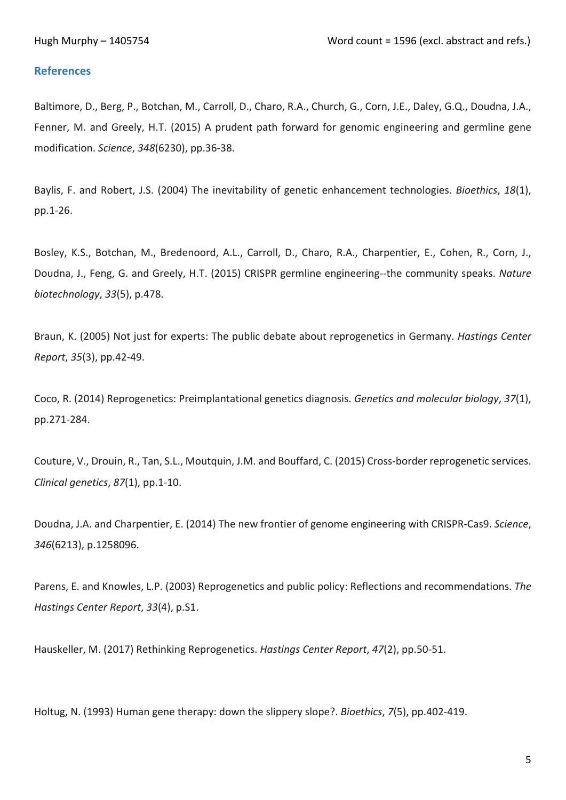# **References**

Baltimore, D., Berg, P., Botchan, M., Carroll, D., Charo, R.A., Church, G., Corn, J.E., Daley, G.Q., Doudna, J.A., Fenner, M. and Greely, H.T. (2015) A prudent path forward for genomic engineering and germline gene modification. *Science*, *348*(6230), pp.36-38.

Baylis, F. and Robert, J.S. (2004) The inevitability of genetic enhancement technologies. *Bioethics*, 18(1), pp.1-26.

Bosley, K.S., Botchan, M., Bredenoord, A.L., Carroll, D., Charo, R.A., Charpentier, E., Cohen, R., Corn, J., Doudna, J., Feng, G. and Greely, H.T. (2015) CRISPR germline engineering--the community speaks. *Nature biotechnology*, *33*(5), p.478.

Braun, K. (2005) Not just for experts: The public debate about reprogenetics in Germany. *Hastings Center Report*, *35*(3), pp.42-49.

Coco, R. (2014) Reprogenetics: Preimplantational genetics diagnosis. *Genetics and molecular biology*, 37(1), pp.271-284.

Couture, V., Drouin, R., Tan, S.L., Moutquin, J.M. and Bouffard, C. (2015) Cross-border reprogenetic services. *Clinical genetics*, *87*(1), pp.1-10.

Doudna, J.A. and Charpentier, E. (2014) The new frontier of genome engineering with CRISPR-Cas9. *Science*, 346(6213), p.1258096.

Parens, E. and Knowles, L.P. (2003) Reprogenetics and public policy: Reflections and recommendations. The *Hastings Center Report*, *33*(4), p.S1.

Hauskeller, M. (2017) Rethinking Reprogenetics. *Hastings Center Report*, 47(2), pp.50-51.

Holtug, N. (1993) Human gene therapy: down the slippery slope?. *Bioethics*, 7(5), pp.402-419.